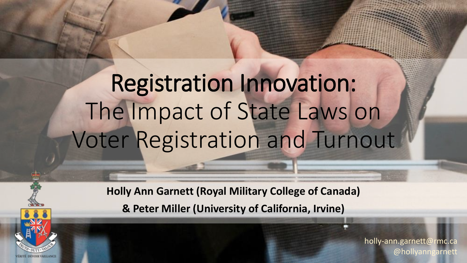# Registration Innovation: The Impact of State Laws on Voter Registration and Turnout

**Holly Ann Garnett (Royal Military College of Canada)**

**& Peter Miller (University of California, Irvine)**

holly-ann.garnett@rmc.ca @hollyanngarnett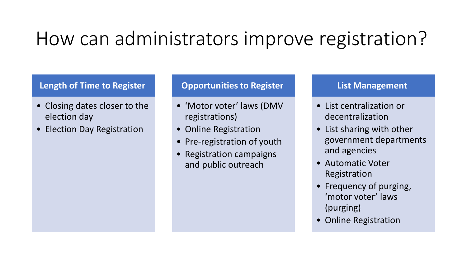### How can administrators improve registration?

#### **Length of Time to Register**

- Closing dates closer to the election day
- Election Day Registration

#### **Opportunities to Register**

- 'Motor voter' laws (DMV registrations)
- Online Registration
- Pre-registration of youth
- Registration campaigns and public outreach

#### **List Management**

- List centralization or decentralization
- List sharing with other government departments and agencies
- Automatic Voter Registration
- Frequency of purging, 'motor voter' laws (purging)
- Online Registration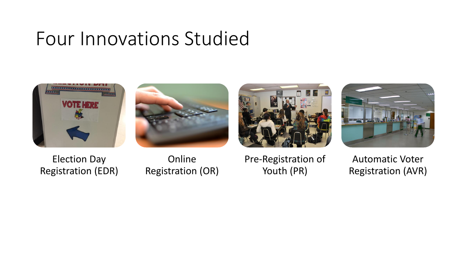### Four Innovations Studied









Election Day Registration (EDR)

Online Registration (OR)

Pre-Registration of Youth (PR)

Automatic Voter Registration (AVR)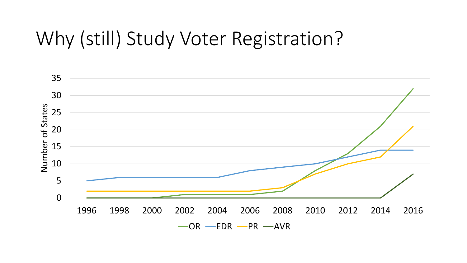### Why (still) Study Voter Registration?

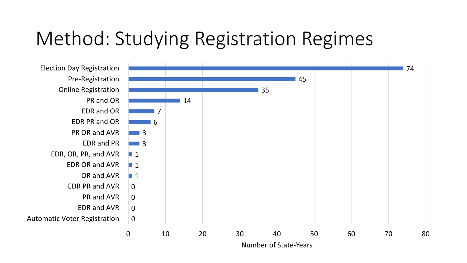## Method: Studying Registration Regimes



Number of State-Years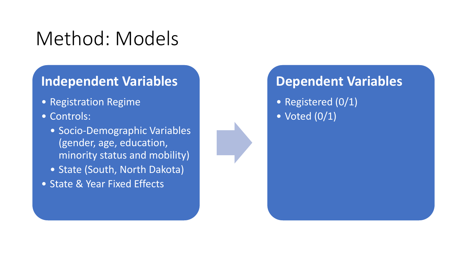## Method: Models

#### **Independent Variables**

- Registration Regime
- Controls:
	- Socio-Demographic Variables (gender, age, education, minority status and mobility)
	- State (South, North Dakota)
- State & Year Fixed Effects



#### **Dependent Variables**

- Registered (0/1)
- $\bullet$  Voted  $(0/1)$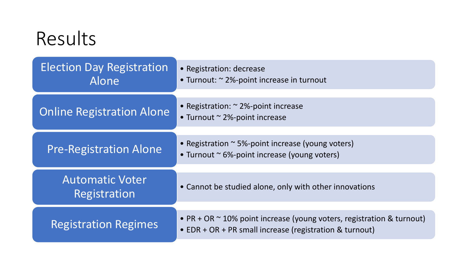| Results                                   |                                                                                                                                  |
|-------------------------------------------|----------------------------------------------------------------------------------------------------------------------------------|
| <b>Election Day Registration</b><br>Alone | • Registration: decrease<br>• Turnout: $\approx$ 2%-point increase in turnout                                                    |
| <b>Online Registration Alone</b>          | • Registration: $\approx$ 2%-point increase<br>• Turnout $\sim$ 2%-point increase                                                |
| <b>Pre-Registration Alone</b>             | • Registration $\sim$ 5%-point increase (young voters)<br>• Turnout ~ 6%-point increase (young voters)                           |
| <b>Automatic Voter</b><br>Registration    | • Cannot be studied alone, only with other innovations                                                                           |
| <b>Registration Regimes</b>               | • PR + OR ~ 10% point increase (young voters, registration & turnout)<br>• EDR + OR + PR small increase (registration & turnout) |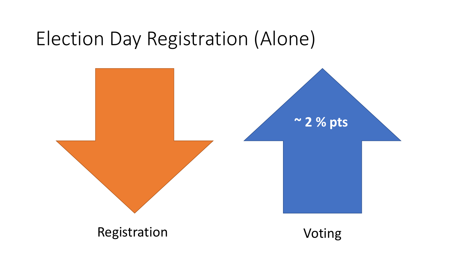### Election Day Registration (Alone)

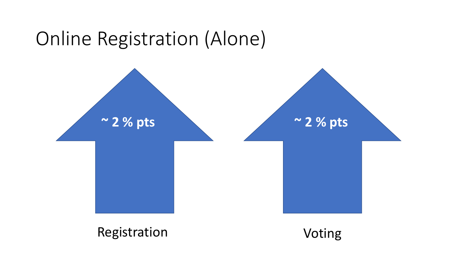## Online Registration (Alone)

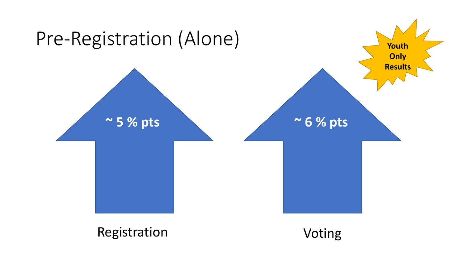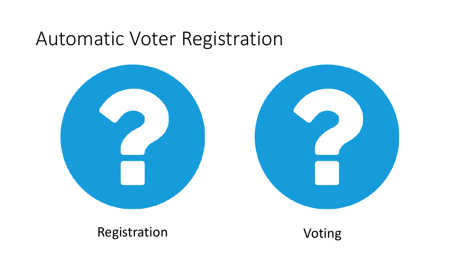#### Automatic Voter Registration

![](_page_10_Picture_1.jpeg)

![](_page_10_Picture_2.jpeg)

#### Registration Voting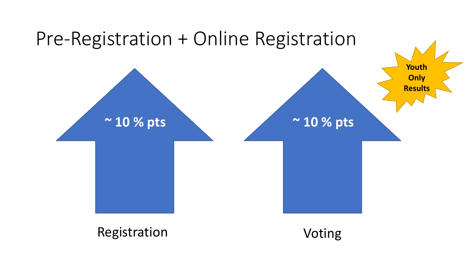![](_page_11_Figure_0.jpeg)